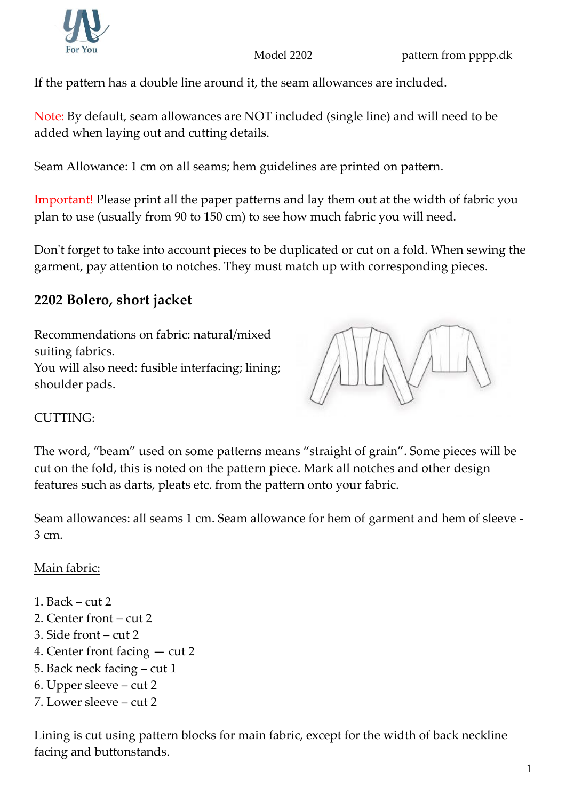

Model 2202 **pattern from pppp.dk** 

If the pattern has a double line around it, the seam allowances are included.

Note: By default, seam allowances are NOT included (single line) and will need to be added when laying out and cutting details.

Seam Allowance: 1 cm on all seams; hem guidelines are printed on pattern.

Important! Please print all the paper patterns and lay them out at the width of fabric you plan to use (usually from 90 to 150 cm) to see how much fabric you will need.

Don't forget to take into account pieces to be duplicated or cut on a fold. When sewing the garment, pay attention to notches. They must match up with corresponding pieces.

## **2202 Bolero, short jacket**

Recommendations on fabric: natural/mixed suiting fabrics. You will also need: fusible interfacing; lining; shoulder pads.



## CUTTING:

The word, "beam" used on some patterns means "straight of grain". Some pieces will be cut on the fold, this is noted on the pattern piece. Mark all notches and other design features such as darts, pleats etc. from the pattern onto your fabric.

Seam allowances: all seams 1 cm. Seam allowance for hem of garment and hem of sleeve - 3 cm.

## Main fabric:

- 1. Back cut 2
- 2. Center front cut 2
- 3. Side front cut 2
- 4. Center front facing cut 2
- 5. Back neck facing cut 1
- 6. Upper sleeve cut 2
- 7. Lower sleeve cut 2

Lining is cut using pattern blocks for main fabric, except for the width of back neckline facing and buttonstands.